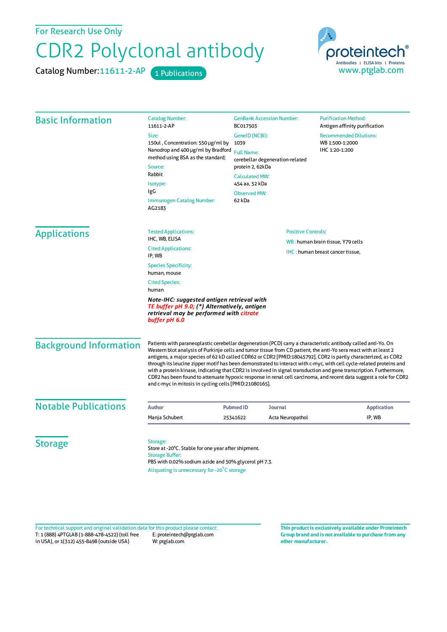For Research Use Only

## CDR2 Polyclonal antibody

Catalog Number: 11611-2-AP 1 Publications



| <b>Basic Information</b>      | <b>Catalog Number:</b><br>11611-2-AP                                                                                                                                                                                                                                                                                                                                                                                                                                                                                                                                                                                                                                                                                                                                              | <b>GenBank Accession Number:</b><br>BC017503                                                                                                                                   | <b>Purification Method:</b><br>Antigen affinity purification       |
|-------------------------------|-----------------------------------------------------------------------------------------------------------------------------------------------------------------------------------------------------------------------------------------------------------------------------------------------------------------------------------------------------------------------------------------------------------------------------------------------------------------------------------------------------------------------------------------------------------------------------------------------------------------------------------------------------------------------------------------------------------------------------------------------------------------------------------|--------------------------------------------------------------------------------------------------------------------------------------------------------------------------------|--------------------------------------------------------------------|
|                               | Size:<br>150ul, Concentration: 550 µg/ml by<br>Nanodrop and 400 µg/ml by Bradford<br>method using BSA as the standard;<br>Source:<br>Rabbit<br>Isotype:<br>IgG<br>Immunogen Catalog Number:<br>AG2183                                                                                                                                                                                                                                                                                                                                                                                                                                                                                                                                                                             | GenelD (NCBI):<br>1039<br><b>Full Name:</b><br>cerebellar degeneration-related<br>protein 2, 62kDa<br><b>Calculated MW:</b><br>454 aa, 52 kDa<br><b>Observed MW:</b><br>62 kDa | <b>Recommended Dilutions:</b><br>WB 1:500-1:2000<br>IHC 1:20-1:200 |
| <b>Applications</b>           | <b>Tested Applications:</b><br>IHC, WB, ELISA                                                                                                                                                                                                                                                                                                                                                                                                                                                                                                                                                                                                                                                                                                                                     | <b>Positive Controls:</b><br>WB: human brain tissue, Y79 cells<br>IHC: human breast cancer tissue,                                                                             |                                                                    |
|                               | <b>Cited Applications:</b><br>IP, WB                                                                                                                                                                                                                                                                                                                                                                                                                                                                                                                                                                                                                                                                                                                                              |                                                                                                                                                                                |                                                                    |
|                               | <b>Species Specificity:</b><br>human, mouse                                                                                                                                                                                                                                                                                                                                                                                                                                                                                                                                                                                                                                                                                                                                       |                                                                                                                                                                                |                                                                    |
|                               | <b>Cited Species:</b><br>human                                                                                                                                                                                                                                                                                                                                                                                                                                                                                                                                                                                                                                                                                                                                                    |                                                                                                                                                                                |                                                                    |
|                               | Note-IHC: suggested antigen retrieval with<br>TE buffer pH 9.0; (*) Alternatively, antigen<br>retrieval may be performed with citrate<br>buffer pH 6.0                                                                                                                                                                                                                                                                                                                                                                                                                                                                                                                                                                                                                            |                                                                                                                                                                                |                                                                    |
| <b>Background Information</b> | Patients with paraneoplastic cerebellar degeneration (PCD) carry a characteristic antibody called anti-Yo. On<br>Western blot analysis of Purkinje cells and tumor tissue from CD patient, the anti-Yo sera react with at least 2<br>antigens, a major species of 62 kD called CDR62 or CDR2 [PMID:18045792]. CDR2 is partly characterized, as CDR2<br>through its leucine zipper motif has been demonstrated to interact with c-myc, with cell cycle-related proteins and<br>with a protein kinase, indicating that CDR2 is involved in signal transduction and gene transcription. Furthermore,<br>CDR2 has been found to attenuate hypoxic response in renal cell carcinoma, and recent data suggest a role for CDR2<br>and c-myc in mitosis in cycling cells [PMID:21080165]. |                                                                                                                                                                                |                                                                    |
| <b>Notable Publications</b>   | <b>Author</b>                                                                                                                                                                                                                                                                                                                                                                                                                                                                                                                                                                                                                                                                                                                                                                     | <b>Pubmed ID</b><br><b>Journal</b>                                                                                                                                             | <b>Application</b>                                                 |
|                               | Manja Schubert                                                                                                                                                                                                                                                                                                                                                                                                                                                                                                                                                                                                                                                                                                                                                                    | 25341622<br>Acta Neuropathol                                                                                                                                                   | IP, WB                                                             |
| <b>Storage</b>                | Storage:<br>Store at -20°C. Stable for one year after shipment.<br><b>Storage Buffer:</b><br>PBS with 0.02% sodium azide and 50% glycerol pH 7.3.<br>Aliquoting is unnecessary for -20°C storage                                                                                                                                                                                                                                                                                                                                                                                                                                                                                                                                                                                  |                                                                                                                                                                                |                                                                    |

T: 1 (888) 4PTGLAB (1-888-478-4522) (toll free in USA), or 1(312) 455-8498 (outside USA) E: proteintech@ptglab.com W: ptglab.com Fortechnical support and original validation data forthis product please contact: **This productis exclusively available under Proteintech**

**Group brand and is not available to purchase from any other manufacturer.**